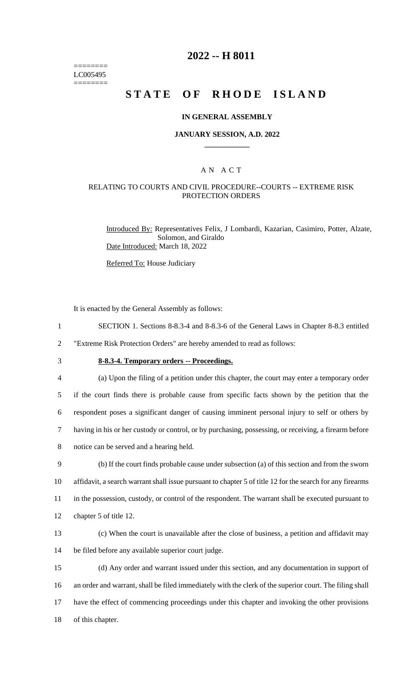======== LC005495 ========

# **2022 -- H 8011**

# **STATE OF RHODE ISLAND**

#### **IN GENERAL ASSEMBLY**

#### **JANUARY SESSION, A.D. 2022 \_\_\_\_\_\_\_\_\_\_\_\_**

### A N A C T

### RELATING TO COURTS AND CIVIL PROCEDURE--COURTS -- EXTREME RISK PROTECTION ORDERS

Introduced By: Representatives Felix, J Lombardi, Kazarian, Casimiro, Potter, Alzate, Solomon, and Giraldo Date Introduced: March 18, 2022

Referred To: House Judiciary

It is enacted by the General Assembly as follows:

- 1 SECTION 1. Sections 8-8.3-4 and 8-8.3-6 of the General Laws in Chapter 8-8.3 entitled
- 2 "Extreme Risk Protection Orders" are hereby amended to read as follows:
- 

# 3 **8-8.3-4. Temporary orders -- Proceedings.**

 (a) Upon the filing of a petition under this chapter, the court may enter a temporary order if the court finds there is probable cause from specific facts shown by the petition that the respondent poses a significant danger of causing imminent personal injury to self or others by having in his or her custody or control, or by purchasing, possessing, or receiving, a firearm before notice can be served and a hearing held. (b) If the court finds probable cause under subsection (a) of this section and from the sworn affidavit, a search warrant shall issue pursuant to chapter 5 of title 12 for the search for any firearms

11 in the possession, custody, or control of the respondent. The warrant shall be executed pursuant to

- 12 chapter 5 of title 12.
- 13 (c) When the court is unavailable after the close of business, a petition and affidavit may 14 be filed before any available superior court judge.

 (d) Any order and warrant issued under this section, and any documentation in support of an order and warrant, shall be filed immediately with the clerk of the superior court. The filing shall have the effect of commencing proceedings under this chapter and invoking the other provisions of this chapter.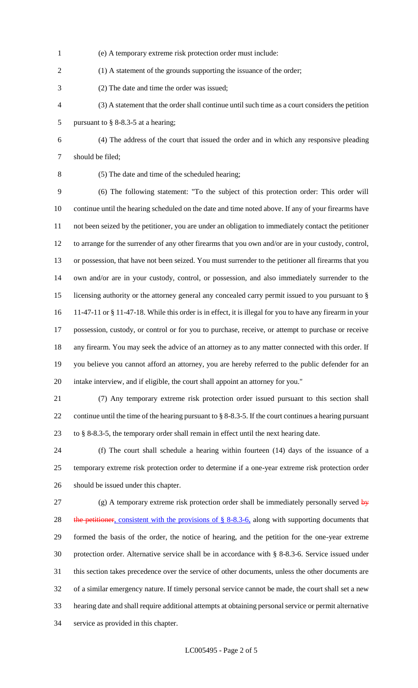- (e) A temporary extreme risk protection order must include:
- 2 (1) A statement of the grounds supporting the issuance of the order;
- (2) The date and time the order was issued;
- (3) A statement that the order shall continue until such time as a court considers the petition pursuant to § 8-8.3-5 at a hearing;
- (4) The address of the court that issued the order and in which any responsive pleading should be filed;
- 

(5) The date and time of the scheduled hearing;

 (6) The following statement: "To the subject of this protection order: This order will continue until the hearing scheduled on the date and time noted above. If any of your firearms have not been seized by the petitioner, you are under an obligation to immediately contact the petitioner to arrange for the surrender of any other firearms that you own and/or are in your custody, control, or possession, that have not been seized. You must surrender to the petitioner all firearms that you own and/or are in your custody, control, or possession, and also immediately surrender to the licensing authority or the attorney general any concealed carry permit issued to you pursuant to § 11-47-11 or § 11-47-18. While this order is in effect, it is illegal for you to have any firearm in your possession, custody, or control or for you to purchase, receive, or attempt to purchase or receive any firearm. You may seek the advice of an attorney as to any matter connected with this order. If you believe you cannot afford an attorney, you are hereby referred to the public defender for an intake interview, and if eligible, the court shall appoint an attorney for you."

 (7) Any temporary extreme risk protection order issued pursuant to this section shall continue until the time of the hearing pursuant to § 8-8.3-5. If the court continues a hearing pursuant to § 8-8.3-5, the temporary order shall remain in effect until the next hearing date.

 (f) The court shall schedule a hearing within fourteen (14) days of the issuance of a temporary extreme risk protection order to determine if a one-year extreme risk protection order should be issued under this chapter.

27 (g) A temporary extreme risk protection order shall be immediately personally served  $\frac{dy}{dx}$ 28 the petitioner, consistent with the provisions of § 8-8.3-6, along with supporting documents that formed the basis of the order, the notice of hearing, and the petition for the one-year extreme protection order. Alternative service shall be in accordance with § 8-8.3-6. Service issued under this section takes precedence over the service of other documents, unless the other documents are of a similar emergency nature. If timely personal service cannot be made, the court shall set a new hearing date and shall require additional attempts at obtaining personal service or permit alternative service as provided in this chapter.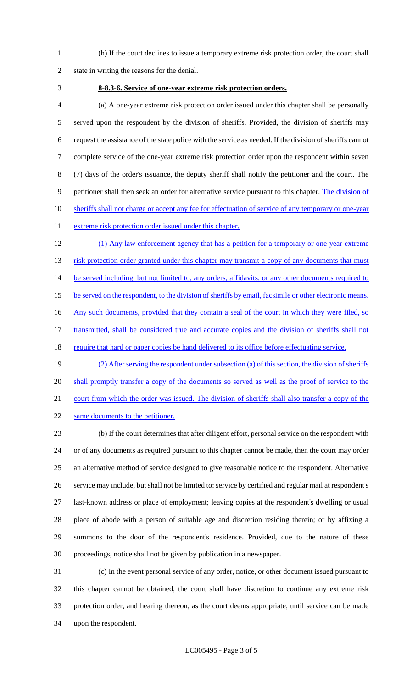(h) If the court declines to issue a temporary extreme risk protection order, the court shall state in writing the reasons for the denial.

#### **8-8.3-6. Service of one-year extreme risk protection orders.**

 (a) A one-year extreme risk protection order issued under this chapter shall be personally served upon the respondent by the division of sheriffs. Provided, the division of sheriffs may request the assistance of the state police with the service as needed. If the division of sheriffs cannot complete service of the one-year extreme risk protection order upon the respondent within seven (7) days of the order's issuance, the deputy sheriff shall notify the petitioner and the court. The petitioner shall then seek an order for alternative service pursuant to this chapter. The division of 10 sheriffs shall not charge or accept any fee for effectuation of service of any temporary or one-year 11 extreme risk protection order issued under this chapter.

 (1) Any law enforcement agency that has a petition for a temporary or one-year extreme 13 risk protection order granted under this chapter may transmit a copy of any documents that must 14 be served including, but not limited to, any orders, affidavits, or any other documents required to 15 be served on the respondent, to the division of sheriffs by email, facsimile or other electronic means. 16 Any such documents, provided that they contain a seal of the court in which they were filed, so transmitted, shall be considered true and accurate copies and the division of sheriffs shall not 18 require that hard or paper copies be hand delivered to its office before effectuating service. (2) After serving the respondent under subsection (a) of this section, the division of sheriffs

20 shall promptly transfer a copy of the documents so served as well as the proof of service to the 21 court from which the order was issued. The division of sheriffs shall also transfer a copy of the

22 same documents to the petitioner.

 (b) If the court determines that after diligent effort, personal service on the respondent with or of any documents as required pursuant to this chapter cannot be made, then the court may order an alternative method of service designed to give reasonable notice to the respondent. Alternative service may include, but shall not be limited to: service by certified and regular mail at respondent's last-known address or place of employment; leaving copies at the respondent's dwelling or usual place of abode with a person of suitable age and discretion residing therein; or by affixing a summons to the door of the respondent's residence. Provided, due to the nature of these proceedings, notice shall not be given by publication in a newspaper.

 (c) In the event personal service of any order, notice, or other document issued pursuant to this chapter cannot be obtained, the court shall have discretion to continue any extreme risk protection order, and hearing thereon, as the court deems appropriate, until service can be made upon the respondent.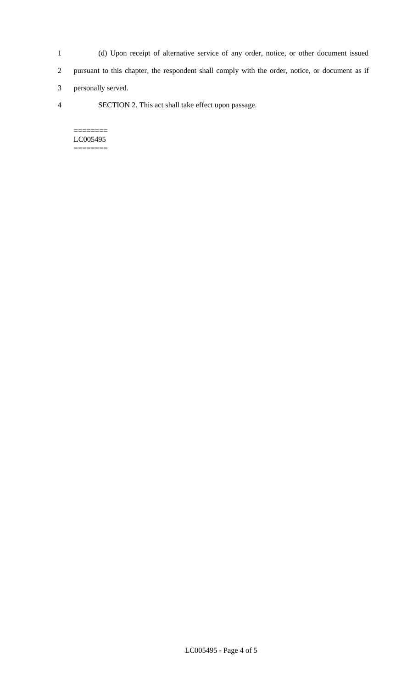- 1 (d) Upon receipt of alternative service of any order, notice, or other document issued 2 pursuant to this chapter, the respondent shall comply with the order, notice, or document as if
- 3 personally served.
- 4 SECTION 2. This act shall take effect upon passage.

======== LC005495 ========